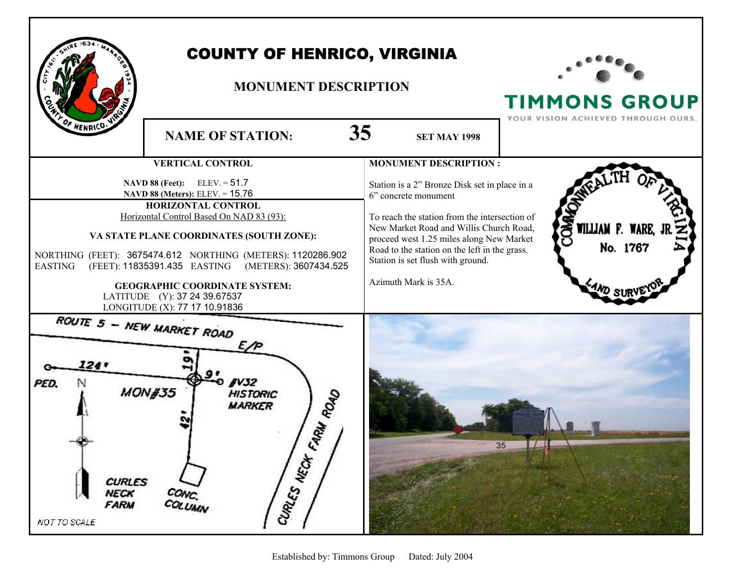|                                                                                                                                                                                                                                                                                                                                                                                                                                 | <b>COUNTY OF HENRICO, VIRGINIA</b><br><b>MONUMENT DESCRIPTION</b> |                                                                                                                                                                                                                                                                                                                             | <b>TIMMONS GROUP</b><br>YOUR VISION ACHIEVED THROUGH OURS. |
|---------------------------------------------------------------------------------------------------------------------------------------------------------------------------------------------------------------------------------------------------------------------------------------------------------------------------------------------------------------------------------------------------------------------------------|-------------------------------------------------------------------|-----------------------------------------------------------------------------------------------------------------------------------------------------------------------------------------------------------------------------------------------------------------------------------------------------------------------------|------------------------------------------------------------|
| F HENRICO.                                                                                                                                                                                                                                                                                                                                                                                                                      | <b>NAME OF STATION:</b>                                           | 35<br><b>SET MAY 1998</b>                                                                                                                                                                                                                                                                                                   |                                                            |
|                                                                                                                                                                                                                                                                                                                                                                                                                                 | <b>VERTICAL CONTROL</b>                                           | <b>MONUMENT DESCRIPTION:</b>                                                                                                                                                                                                                                                                                                |                                                            |
| <b>NAVD 88 (Feet):</b> ELEV. = $51.7$<br>NAVD 88 (Meters): ELEV. = 15.76<br>HORIZONTAL CONTROL<br>Horizontal Control Based On NAD 83 (93):<br>VA STATE PLANE COORDINATES (SOUTH ZONE):<br>NORTHING (FEET): 3675474.612 NORTHING (METERS): 1120286.902<br>(FEET): 11835391.435 EASTING (METERS): 3607434.525<br>EASTING<br><b>GEOGRAPHIC COORDINATE SYSTEM:</b><br>LATITUDE (Y): 37 24 39.67537<br>LONGITUDE (X): 77 17 10.91836 |                                                                   | Station is a 2" Bronze Disk set in place in a<br>6" concrete monument<br>To reach the station from the intersection of<br>New Market Road and Willis Church Road,<br>proceed west 1.25 miles along New Market<br>Road to the station on the left in the grass.<br>Station is set flush with ground.<br>Azimuth Mark is 35A. | COMM<br>WILLIAM F. WARE,<br>No. 1767<br><b>AND SURV</b>    |
| <b>ROUTE 5 - NEW MARKET ROAD</b><br>E/P<br>124'<br>fV32<br>PED.<br>N<br><b>MON#35</b><br><b>HISTORIC</b><br>FARILY ROAD<br><b>MARKER</b><br>CURLES MECH<br><b>CURLES</b><br>CONC.<br><b>NECK</b><br><b>FARM</b><br>NOT TO SCALE                                                                                                                                                                                                 |                                                                   |                                                                                                                                                                                                                                                                                                                             | 35                                                         |